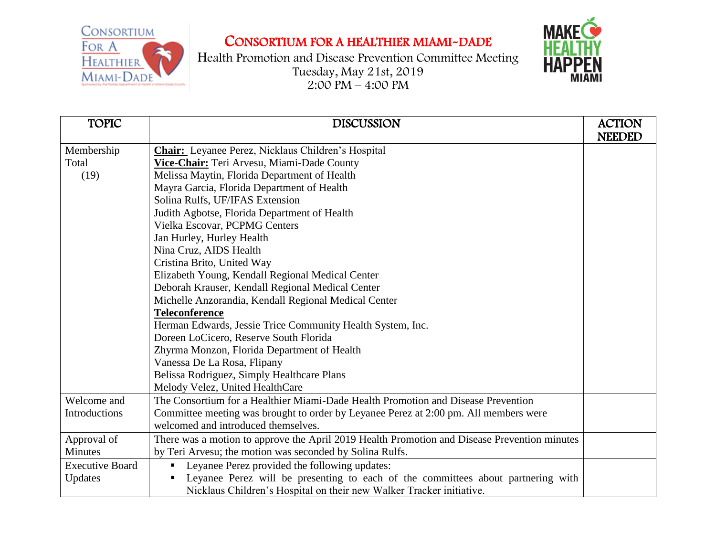CONSORTIUM FOR A HEALTHIER MIAMI-DADE



Health Promotion and Disease Prevention Committee Meeting Tuesday, May 21st, 2019 2:00 PM – 4:00 PM



| <b>TOPIC</b>           | <b>DISCUSSION</b>                                                                            | <b>ACTION</b><br><b>NEEDED</b> |
|------------------------|----------------------------------------------------------------------------------------------|--------------------------------|
| Membership             | <b>Chair:</b> Leyanee Perez, Nicklaus Children's Hospital                                    |                                |
| Total                  | Vice-Chair: Teri Arvesu, Miami-Dade County                                                   |                                |
| (19)                   | Melissa Maytin, Florida Department of Health                                                 |                                |
|                        | Mayra Garcia, Florida Department of Health                                                   |                                |
|                        | Solina Rulfs, UF/IFAS Extension                                                              |                                |
|                        | Judith Agbotse, Florida Department of Health                                                 |                                |
|                        | Vielka Escovar, PCPMG Centers                                                                |                                |
|                        | Jan Hurley, Hurley Health                                                                    |                                |
|                        | Nina Cruz, AIDS Health                                                                       |                                |
|                        | Cristina Brito, United Way                                                                   |                                |
|                        | Elizabeth Young, Kendall Regional Medical Center                                             |                                |
|                        | Deborah Krauser, Kendall Regional Medical Center                                             |                                |
|                        | Michelle Anzorandia, Kendall Regional Medical Center                                         |                                |
|                        | <b>Teleconference</b>                                                                        |                                |
|                        | Herman Edwards, Jessie Trice Community Health System, Inc.                                   |                                |
|                        | Doreen LoCicero, Reserve South Florida                                                       |                                |
|                        | Zhyrma Monzon, Florida Department of Health                                                  |                                |
|                        | Vanessa De La Rosa, Flipany                                                                  |                                |
|                        | Belissa Rodriguez, Simply Healthcare Plans                                                   |                                |
|                        | Melody Velez, United HealthCare                                                              |                                |
| Welcome and            | The Consortium for a Healthier Miami-Dade Health Promotion and Disease Prevention            |                                |
| Introductions          | Committee meeting was brought to order by Leyanee Perez at 2:00 pm. All members were         |                                |
|                        | welcomed and introduced themselves.                                                          |                                |
| Approval of            | There was a motion to approve the April 2019 Health Promotion and Disease Prevention minutes |                                |
| <b>Minutes</b>         | by Teri Arvesu; the motion was seconded by Solina Rulfs.                                     |                                |
| <b>Executive Board</b> | Leyanee Perez provided the following updates:                                                |                                |
| Updates                | Leyanee Perez will be presenting to each of the committees about partnering with             |                                |
|                        | Nicklaus Children's Hospital on their new Walker Tracker initiative.                         |                                |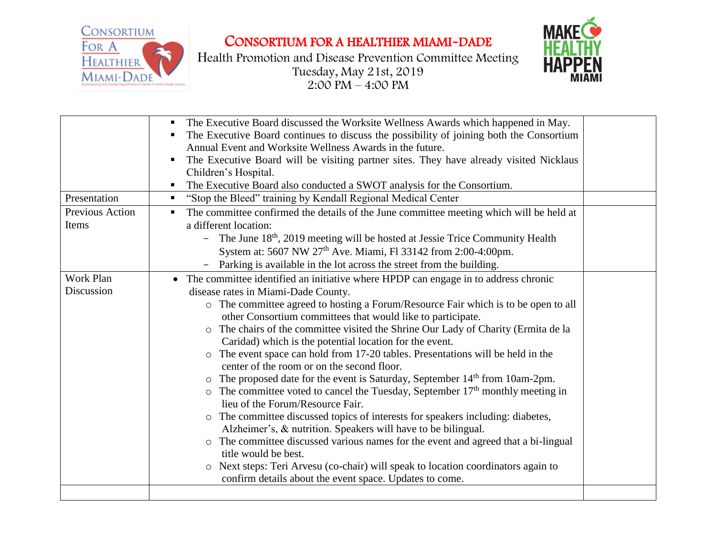CONSORTIUM FOR A HEALTHIER MIAMI-DADE



Health Promotion and Disease Prevention Committee Meeting Tuesday, May 21st, 2019 2:00 PM – 4:00 PM



|                          | The Executive Board discussed the Worksite Wellness Awards which happened in May.<br>The Executive Board continues to discuss the possibility of joining both the Consortium<br>Annual Event and Worksite Wellness Awards in the future.<br>The Executive Board will be visiting partner sites. They have already visited Nicklaus<br>Children's Hospital.<br>The Executive Board also conducted a SWOT analysis for the Consortium.                                                                                                                                                                                                                                                                                                                                                                                                                                                                                                                                                                                                                                                                                                                                        |  |
|--------------------------|-----------------------------------------------------------------------------------------------------------------------------------------------------------------------------------------------------------------------------------------------------------------------------------------------------------------------------------------------------------------------------------------------------------------------------------------------------------------------------------------------------------------------------------------------------------------------------------------------------------------------------------------------------------------------------------------------------------------------------------------------------------------------------------------------------------------------------------------------------------------------------------------------------------------------------------------------------------------------------------------------------------------------------------------------------------------------------------------------------------------------------------------------------------------------------|--|
| Presentation             | "Stop the Bleed" training by Kendall Regional Medical Center                                                                                                                                                                                                                                                                                                                                                                                                                                                                                                                                                                                                                                                                                                                                                                                                                                                                                                                                                                                                                                                                                                                |  |
| Previous Action<br>Items | The committee confirmed the details of the June committee meeting which will be held at<br>a different location:<br>- The June 18 <sup>th</sup> , 2019 meeting will be hosted at Jessie Trice Community Health<br>System at: 5607 NW 27 <sup>th</sup> Ave. Miami, Fl 33142 from 2:00-4:00pm.<br>Parking is available in the lot across the street from the building.                                                                                                                                                                                                                                                                                                                                                                                                                                                                                                                                                                                                                                                                                                                                                                                                        |  |
| Work Plan                | • The committee identified an initiative where HPDP can engage in to address chronic                                                                                                                                                                                                                                                                                                                                                                                                                                                                                                                                                                                                                                                                                                                                                                                                                                                                                                                                                                                                                                                                                        |  |
| Discussion               | disease rates in Miami-Dade County.<br>o The committee agreed to hosting a Forum/Resource Fair which is to be open to all<br>other Consortium committees that would like to participate.<br>The chairs of the committee visited the Shrine Our Lady of Charity (Ermita de la<br>$\circ$<br>Caridad) which is the potential location for the event.<br>The event space can hold from 17-20 tables. Presentations will be held in the<br>$\circ$<br>center of the room or on the second floor.<br>The proposed date for the event is Saturday, September 14 <sup>th</sup> from 10am-2pm.<br>$\circ$ The committee voted to cancel the Tuesday, September 17 <sup>th</sup> monthly meeting in<br>lieu of the Forum/Resource Fair.<br>The committee discussed topics of interests for speakers including: diabetes,<br>$\circ$<br>Alzheimer's, & nutrition. Speakers will have to be bilingual.<br>The committee discussed various names for the event and agreed that a bi-lingual<br>$\circ$<br>title would be best.<br>Next steps: Teri Arvesu (co-chair) will speak to location coordinators again to<br>$\circ$<br>confirm details about the event space. Updates to come. |  |
|                          |                                                                                                                                                                                                                                                                                                                                                                                                                                                                                                                                                                                                                                                                                                                                                                                                                                                                                                                                                                                                                                                                                                                                                                             |  |